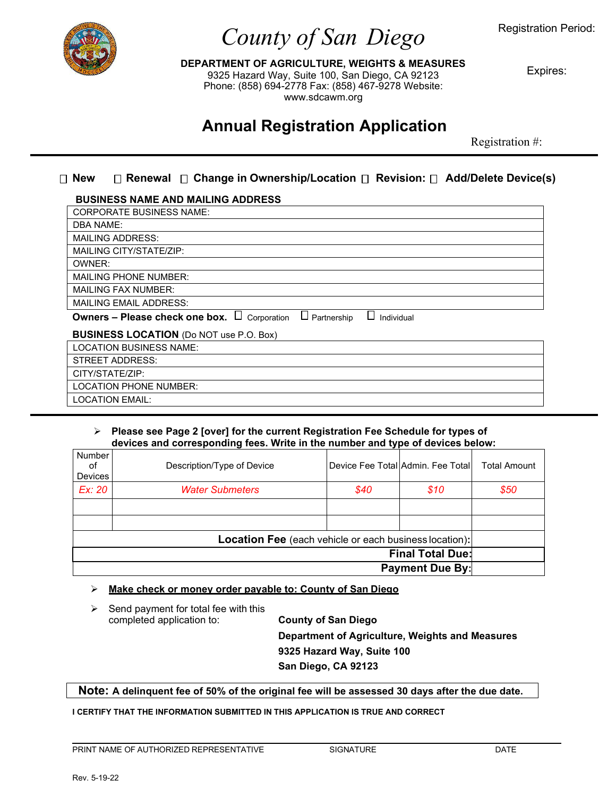

# *County of San Diego*

Registration Period:

**DEPARTMENT OF AGRICULTURE, WEIGHTS & MEASURES** 9325 Hazard Way, Suite 100, San Diego, CA 92123 Phone: (858) 694-2778 Fax: (858) 467-9278 Website: [www.sdcawm.org](http://www.sdcawm.org/)

Expires:

## **Annual Registration Application**

Registration #:

#### **New Renewal Change in Ownership/Location Revision: Add/Delete Device(s)**

#### **BUSINESS NAME AND MAILING ADDRESS**

| <b>CORPORATE BUSINESS NAME:</b>                                                          |  |  |  |  |  |
|------------------------------------------------------------------------------------------|--|--|--|--|--|
| <b>DBA NAME:</b>                                                                         |  |  |  |  |  |
| <b>MAILING ADDRESS:</b>                                                                  |  |  |  |  |  |
| MAILING CITY/STATE/ZIP:                                                                  |  |  |  |  |  |
| OWNER:                                                                                   |  |  |  |  |  |
| <b>MAILING PHONE NUMBER:</b>                                                             |  |  |  |  |  |
| <b>MAILING FAX NUMBER:</b>                                                               |  |  |  |  |  |
| <b>MAILING EMAIL ADDRESS:</b>                                                            |  |  |  |  |  |
| Owners - Please check one box. $\Box$<br>$\Box$ Partnership<br>Corporation<br>Individual |  |  |  |  |  |
| <b>BUSINESS LOCATION (Do NOT use P.O. Box)</b>                                           |  |  |  |  |  |
| <b>LOCATION BUSINESS NAME:</b>                                                           |  |  |  |  |  |
| <b>STREET ADDRESS:</b>                                                                   |  |  |  |  |  |
| CITY/STATE/ZIP:                                                                          |  |  |  |  |  |
| <b>LOCATION PHONE NUMBER:</b>                                                            |  |  |  |  |  |
| <b>LOCATION EMAIL:</b>                                                                   |  |  |  |  |  |

#### **Please see Page 2 [over] for the current Registration Fee Schedule for types of devices and corresponding fees. Write in the number and type of devices below:**

| Number<br>of<br>Devices                                       | Description/Type of Device |      | Device Fee Total Admin. Fee Total | <b>Total Amount</b> |  |  |  |
|---------------------------------------------------------------|----------------------------|------|-----------------------------------|---------------------|--|--|--|
| Ex: 20                                                        | <b>Water Submeters</b>     | \$40 | \$10                              | \$50                |  |  |  |
|                                                               |                            |      |                                   |                     |  |  |  |
|                                                               |                            |      |                                   |                     |  |  |  |
| <b>Location Fee</b> (each vehicle or each business location): |                            |      |                                   |                     |  |  |  |
| <b>Final Total Due:</b>                                       |                            |      |                                   |                     |  |  |  |
| <b>Payment Due By:</b>                                        |                            |      |                                   |                     |  |  |  |

#### **Make check or money order payable to: County of San Diego**

|  | Send payment for total fee with this<br>completed application to: | <b>County of San Diego</b>                      |  |
|--|-------------------------------------------------------------------|-------------------------------------------------|--|
|  |                                                                   | Department of Agriculture, Weights and Measures |  |
|  |                                                                   | 9325 Hazard Way, Suite 100                      |  |
|  |                                                                   | San Diego, CA 92123                             |  |

**Note: A delinquent fee of 50% of the original fee will be assessed 30 days after the due date.**

**I CERTIFY THAT THE INFORMATION SUBMITTED IN THIS APPLICATION IS TRUE AND CORRECT**